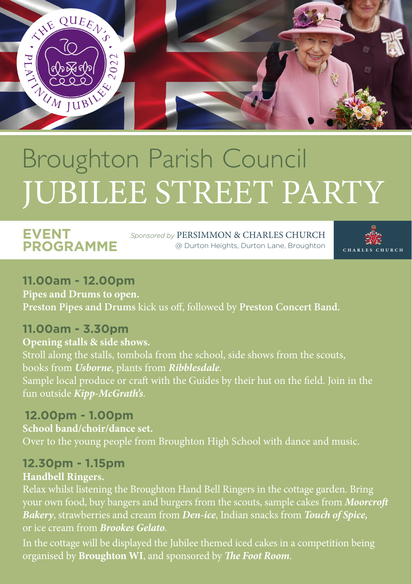

# Broughton Parish Council JUBILEE STREET PARTY

# **EVENT PROGRAMME**

*Sponsored by* PERSIMMON & CHARLES CHURCH @ Durton Heights, Durton Lane, Broughton



#### **11.00am - 12.00pm Pipes and Drums to open. Preston Pipes and Drums** kick us off, followed by **Preston Concert Band.**

# **11.00am - 3.30pm**

**Opening stalls & side shows.** Stroll along the stalls, tombola from the school, side shows from the scouts, books from *Usborne*, plants from *Ribblesdale*. fun outside *Kipp-McGrath's*.

### **12.00pm - 1.00pm**

**School band/choir/dance set.** Over to the young people from Broughton High School with dance and music.

#### **12.30pm - 1.15pm**

#### **Handbell Ringers.**

Relax whilst listening the Broughton Hand Bell Ringers in the cottage garden. Bring your own food, buy bangers and burgers from the scouts, sample cakes from *Moorcroft Bakery*, strawberries and cream from *Den-ice*, Indian snacks from *Touch of Spice,* or ice cream from *Brookes Gelato*.

In the cottage will be displayed the Jubilee themed iced cakes in a competition being organised by **Broughton WI**, and sponsored by *The Foot Room*.